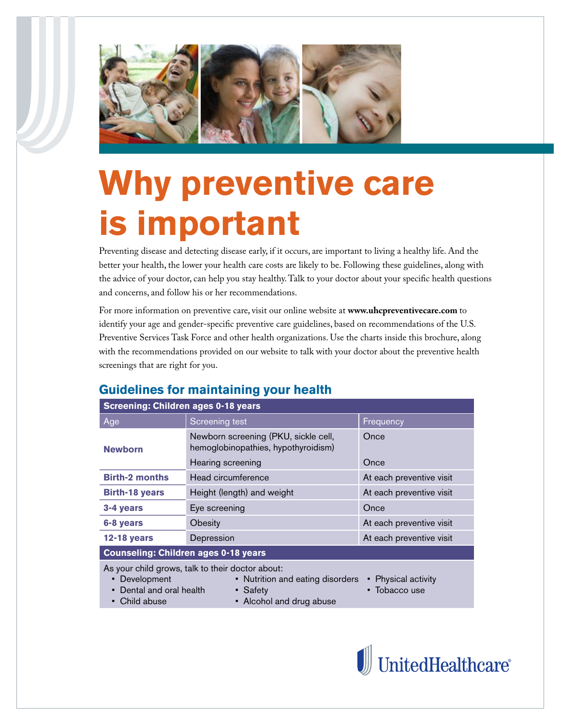

# **Why preventive care is important**

Preventing disease and detecting disease early, if it occurs, are important to living a healthy life. And the better your health, the lower your health care costs are likely to be. Following these guidelines, along with the advice of your doctor, can help you stay healthy. Talk to your doctor about your specific health questions and concerns, and follow his or her recommendations.

For more information on preventive care, visit our online website at **www.uhcpreventivecare.com** to identify your age and gender-specific preventive care guidelines, based on recommendations of the U.S. Preventive Services Task Force and other health organizations. Use the charts inside this brochure, along with the recommendations provided on our website to talk with your doctor about the preventive health screenings that are right for you.

## **Guidelines for maintaining your health**

| <b>Screening: Children ages 0-18 years</b>                                                                                                                                                                                 |                                                                             |                          |  |  |  |  |  |  |  |  |
|----------------------------------------------------------------------------------------------------------------------------------------------------------------------------------------------------------------------------|-----------------------------------------------------------------------------|--------------------------|--|--|--|--|--|--|--|--|
| Age                                                                                                                                                                                                                        | Screening test                                                              | Frequency                |  |  |  |  |  |  |  |  |
| <b>Newborn</b>                                                                                                                                                                                                             | Newborn screening (PKU, sickle cell,<br>hemoglobinopathies, hypothyroidism) | Once                     |  |  |  |  |  |  |  |  |
|                                                                                                                                                                                                                            | Hearing screening                                                           | Once                     |  |  |  |  |  |  |  |  |
| <b>Birth-2 months</b>                                                                                                                                                                                                      | Head circumference                                                          | At each preventive visit |  |  |  |  |  |  |  |  |
| <b>Birth-18 years</b>                                                                                                                                                                                                      | Height (length) and weight                                                  | At each preventive visit |  |  |  |  |  |  |  |  |
| 3-4 years                                                                                                                                                                                                                  | Eye screening                                                               | Once                     |  |  |  |  |  |  |  |  |
| 6-8 years                                                                                                                                                                                                                  | Obesity                                                                     | At each preventive visit |  |  |  |  |  |  |  |  |
| <b>12-18 years</b>                                                                                                                                                                                                         | Depression                                                                  | At each preventive visit |  |  |  |  |  |  |  |  |
| <b>Counseling: Children ages 0-18 years</b>                                                                                                                                                                                |                                                                             |                          |  |  |  |  |  |  |  |  |
| As your child grows, talk to their doctor about:<br>• Physical activity<br>Development<br>• Nutrition and eating disorders<br>Dental and oral health<br>Tobacco use<br>• Safety<br>Child abuse<br>• Alcohol and drug abuse |                                                                             |                          |  |  |  |  |  |  |  |  |

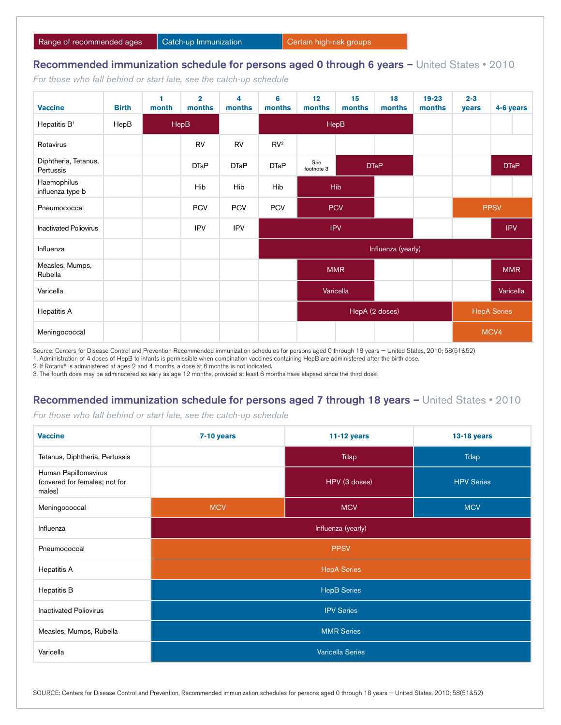#### Recommended immunization schedule for persons aged 0 through 6 years - United States • 2010

*For those who fall behind or start late, see the catch-up schedule*

| <b>Vaccine</b>                    | <b>Birth</b> | ۴<br>month | $\overline{2}$<br>months | 4<br>months | 6<br>months              | 12<br>months                     | 15<br>months | 18<br>months | $19 - 23$<br>months | $2 - 3$<br>years   | 4-6 years   |  |  |
|-----------------------------------|--------------|------------|--------------------------|-------------|--------------------------|----------------------------------|--------------|--------------|---------------------|--------------------|-------------|--|--|
| Hepatitis B <sup>1</sup>          | HepB         |            | HepB                     |             |                          | HepB                             |              |              |                     |                    |             |  |  |
| Rotavirus                         |              |            | RV                       | <b>RV</b>   | RV <sup>2</sup>          |                                  |              |              |                     |                    |             |  |  |
| Diphtheria, Tetanus,<br>Pertussis |              |            | <b>DTaP</b>              | <b>DTaP</b> | <b>DTaP</b>              | See<br><b>DTaP</b><br>footnote 3 |              |              |                     |                    | <b>DTaP</b> |  |  |
| Haemophilus<br>influenza type b   |              |            | Hib                      | Hib         | Hib                      | Hib                              |              |              |                     |                    |             |  |  |
| Pneumococcal                      |              |            | <b>PCV</b>               | <b>PCV</b>  | <b>PCV</b><br><b>PCV</b> |                                  |              |              |                     | <b>PPSV</b>        |             |  |  |
| <b>Inactivated Poliovirus</b>     |              |            | <b>IPV</b>               | <b>IPV</b>  | <b>IPV</b>               |                                  |              |              |                     | <b>IPV</b>         |             |  |  |
| Influenza                         |              |            |                          |             |                          | Influenza (yearly)               |              |              |                     |                    |             |  |  |
| Measles, Mumps,<br>Rubella        |              |            |                          |             |                          | <b>MMR</b>                       |              |              |                     |                    | <b>MMR</b>  |  |  |
| Varicella                         |              |            |                          |             |                          | Varicella                        |              |              |                     |                    | Varicella   |  |  |
| Hepatitis A                       |              |            |                          |             |                          | HepA (2 doses)                   |              |              |                     | <b>HepA Series</b> |             |  |  |
| Meningococcal                     |              |            |                          |             |                          |                                  |              |              |                     | MCV4               |             |  |  |

Source: Centers for Disease Control and Prevention Recommended immunization schedules for persons aged 0 through 18 years — United States, 2010; 58(51&52)

1. Administration of 4 doses of HepB to infants is permissible when combination vaccines containing HepB are administered after the birth dose.

2. If Rotarix® is administered at ages 2 and 4 months, a dose at 6 months is not indicated.

3. The fourth dose may be administered as early as age 12 months, provided at least 6 months have elapsed since the third dose.

### Recommended immunization schedule for persons aged 7 through 18 years - United States • 2010

*For those who fall behind or start late, see the catch-up schedule*

| <b>Vaccine</b>                                                  | 7-10 years              | $11-12$ years | <b>13-18 years</b> |  |  |  |  |  |  |
|-----------------------------------------------------------------|-------------------------|---------------|--------------------|--|--|--|--|--|--|
| Tetanus, Diphtheria, Pertussis                                  |                         | Tdap          | <b>Tdap</b>        |  |  |  |  |  |  |
| Human Papillomavirus<br>(covered for females; not for<br>males) |                         | HPV (3 doses) | <b>HPV Series</b>  |  |  |  |  |  |  |
| Meningococcal                                                   | <b>MCV</b>              | <b>MCV</b>    | <b>MCV</b>         |  |  |  |  |  |  |
| Influenza                                                       | Influenza (yearly)      |               |                    |  |  |  |  |  |  |
| Pneumococcal                                                    | <b>PPSV</b>             |               |                    |  |  |  |  |  |  |
| Hepatitis A                                                     | <b>HepA Series</b>      |               |                    |  |  |  |  |  |  |
| <b>Hepatitis B</b>                                              | <b>HepB Series</b>      |               |                    |  |  |  |  |  |  |
| <b>Inactivated Poliovirus</b>                                   | <b>IPV Series</b>       |               |                    |  |  |  |  |  |  |
| Measles, Mumps, Rubella                                         | <b>MMR Series</b>       |               |                    |  |  |  |  |  |  |
| Varicella                                                       | <b>Varicella Series</b> |               |                    |  |  |  |  |  |  |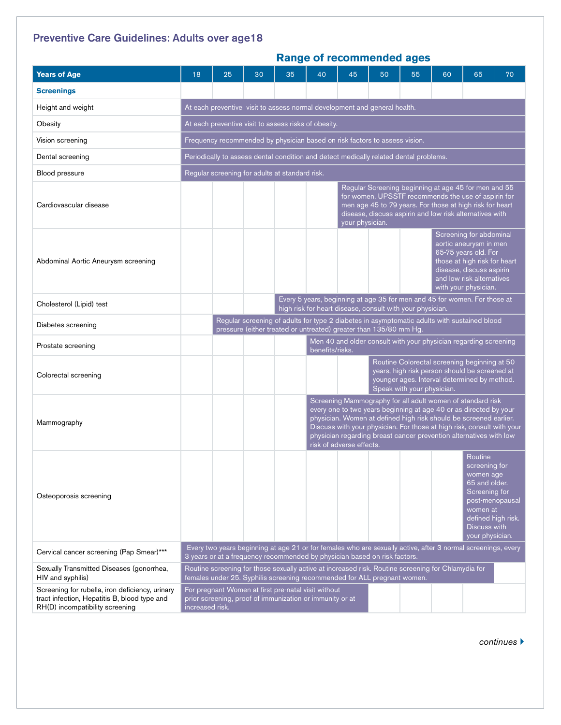## Preventive Care Guidelines: Adults over age18

|                                                                                                                                    | <b>Range of recommended ages</b>                                                                                                                                                                               |                                                                                                                                                                                                                                                       |    |    |                                                                                                                                                                                                                                                                                                                                                                                  |                                                                                                                                                                                            |    |    |    |                                                                                                                        |                                       |  |
|------------------------------------------------------------------------------------------------------------------------------------|----------------------------------------------------------------------------------------------------------------------------------------------------------------------------------------------------------------|-------------------------------------------------------------------------------------------------------------------------------------------------------------------------------------------------------------------------------------------------------|----|----|----------------------------------------------------------------------------------------------------------------------------------------------------------------------------------------------------------------------------------------------------------------------------------------------------------------------------------------------------------------------------------|--------------------------------------------------------------------------------------------------------------------------------------------------------------------------------------------|----|----|----|------------------------------------------------------------------------------------------------------------------------|---------------------------------------|--|
| <b>Years of Age</b>                                                                                                                | 18                                                                                                                                                                                                             | 25                                                                                                                                                                                                                                                    | 30 | 35 | 40                                                                                                                                                                                                                                                                                                                                                                               | 45                                                                                                                                                                                         | 50 | 55 | 60 | 65                                                                                                                     | 70                                    |  |
| <b>Screenings</b>                                                                                                                  |                                                                                                                                                                                                                |                                                                                                                                                                                                                                                       |    |    |                                                                                                                                                                                                                                                                                                                                                                                  |                                                                                                                                                                                            |    |    |    |                                                                                                                        |                                       |  |
| Height and weight                                                                                                                  | At each preventive visit to assess normal development and general health.                                                                                                                                      |                                                                                                                                                                                                                                                       |    |    |                                                                                                                                                                                                                                                                                                                                                                                  |                                                                                                                                                                                            |    |    |    |                                                                                                                        |                                       |  |
| Obesity                                                                                                                            |                                                                                                                                                                                                                | At each preventive visit to assess risks of obesity.                                                                                                                                                                                                  |    |    |                                                                                                                                                                                                                                                                                                                                                                                  |                                                                                                                                                                                            |    |    |    |                                                                                                                        |                                       |  |
| Vision screening                                                                                                                   | Frequency recommended by physician based on risk factors to assess vision.                                                                                                                                     |                                                                                                                                                                                                                                                       |    |    |                                                                                                                                                                                                                                                                                                                                                                                  |                                                                                                                                                                                            |    |    |    |                                                                                                                        |                                       |  |
| Dental screening                                                                                                                   |                                                                                                                                                                                                                | Periodically to assess dental condition and detect medically related dental problems.                                                                                                                                                                 |    |    |                                                                                                                                                                                                                                                                                                                                                                                  |                                                                                                                                                                                            |    |    |    |                                                                                                                        |                                       |  |
| Blood pressure                                                                                                                     | Regular screening for adults at standard risk.                                                                                                                                                                 |                                                                                                                                                                                                                                                       |    |    |                                                                                                                                                                                                                                                                                                                                                                                  |                                                                                                                                                                                            |    |    |    |                                                                                                                        |                                       |  |
| Cardiovascular disease                                                                                                             |                                                                                                                                                                                                                | Regular Screening beginning at age 45 for men and 55<br>for women. UPSSTF recommends the use of aspirin for<br>men age 45 to 79 years. For those at high risk for heart<br>disease, discuss aspirin and low risk alternatives with<br>your physician. |    |    |                                                                                                                                                                                                                                                                                                                                                                                  |                                                                                                                                                                                            |    |    |    |                                                                                                                        |                                       |  |
| Abdominal Aortic Aneurysm screening                                                                                                |                                                                                                                                                                                                                |                                                                                                                                                                                                                                                       |    |    |                                                                                                                                                                                                                                                                                                                                                                                  | Screening for abdominal<br>aortic aneurysm in men<br>65-75 years old. For<br>those at high risk for heart<br>disease, discuss aspirin<br>and low risk alternatives<br>with your physician. |    |    |    |                                                                                                                        |                                       |  |
| Cholesterol (Lipid) test                                                                                                           |                                                                                                                                                                                                                | Every 5 years, beginning at age 35 for men and 45 for women. For those at<br>high risk for heart disease, consult with your physician.                                                                                                                |    |    |                                                                                                                                                                                                                                                                                                                                                                                  |                                                                                                                                                                                            |    |    |    |                                                                                                                        |                                       |  |
| Diabetes screening                                                                                                                 |                                                                                                                                                                                                                | Regular screening of adults for type 2 diabetes in asymptomatic adults with sustained blood<br>pressure (either treated or untreated) greater than 135/80 mm Hg.                                                                                      |    |    |                                                                                                                                                                                                                                                                                                                                                                                  |                                                                                                                                                                                            |    |    |    |                                                                                                                        |                                       |  |
| Prostate screening                                                                                                                 |                                                                                                                                                                                                                | Men 40 and older consult with your physician regarding screening<br>benefits/risks.                                                                                                                                                                   |    |    |                                                                                                                                                                                                                                                                                                                                                                                  |                                                                                                                                                                                            |    |    |    |                                                                                                                        |                                       |  |
| Colorectal screening                                                                                                               |                                                                                                                                                                                                                |                                                                                                                                                                                                                                                       |    |    | Routine Colorectal screening beginning at 50<br>years, high risk person should be screened at<br>younger ages. Interval determined by method.<br>Speak with your physician.                                                                                                                                                                                                      |                                                                                                                                                                                            |    |    |    |                                                                                                                        |                                       |  |
| Mammography                                                                                                                        |                                                                                                                                                                                                                |                                                                                                                                                                                                                                                       |    |    | Screening Mammography for all adult women of standard risk<br>every one to two years beginning at age 40 or as directed by your<br>physician. Women at defined high risk should be screened earlier.<br>Discuss with your physician. For those at high risk, consult with your<br>physician regarding breast cancer prevention alternatives with low<br>risk of adverse effects. |                                                                                                                                                                                            |    |    |    |                                                                                                                        |                                       |  |
| Osteoporosis screening                                                                                                             |                                                                                                                                                                                                                |                                                                                                                                                                                                                                                       |    |    |                                                                                                                                                                                                                                                                                                                                                                                  |                                                                                                                                                                                            |    |    |    | Routine<br>screening for<br>women age<br>65 and older.<br>Screening for<br>women at<br>Discuss with<br>your physician. | post-menopausal<br>defined high risk. |  |
| Cervical cancer screening (Pap Smear)***                                                                                           |                                                                                                                                                                                                                |                                                                                                                                                                                                                                                       |    |    |                                                                                                                                                                                                                                                                                                                                                                                  | Every two years beginning at age 21 or for females who are sexually active, after 3 normal screenings, every<br>3 years or at a frequency recommended by physician based on risk factors.  |    |    |    |                                                                                                                        |                                       |  |
| Sexually Transmitted Diseases (gonorrhea,<br>HIV and syphilis)                                                                     |                                                                                                                                                                                                                |                                                                                                                                                                                                                                                       |    |    |                                                                                                                                                                                                                                                                                                                                                                                  | Routine screening for those sexually active at increased risk. Routine screening for Chlamydia for                                                                                         |    |    |    |                                                                                                                        |                                       |  |
| Screening for rubella, iron deficiency, urinary<br>tract infection, Hepatitis B, blood type and<br>RH(D) incompatibility screening | females under 25. Syphilis screening recommended for ALL pregnant women.<br>For pregnant Women at first pre-natal visit without<br>prior screening, proof of immunization or immunity or at<br>increased risk. |                                                                                                                                                                                                                                                       |    |    |                                                                                                                                                                                                                                                                                                                                                                                  |                                                                                                                                                                                            |    |    |    |                                                                                                                        |                                       |  |

*continues* }